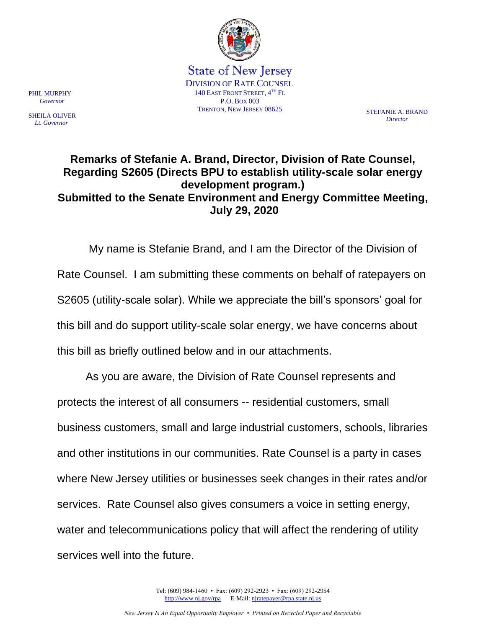

State of New Jersey DIVISION OF RATE COUNSEL 140 EAST FRONT STREET,  $4<sup>TH</sup>$  Fl P.O. BOX 003 TRENTON, NEW JERSEY 08625 STEFANIE A. BRAND

*Director*

## **Remarks of Stefanie A. Brand, Director, Division of Rate Counsel, Regarding S2605 (Directs BPU to establish utility-scale solar energy development program.) Submitted to the Senate Environment and Energy Committee Meeting, July 29, 2020**

My name is Stefanie Brand, and I am the Director of the Division of Rate Counsel. I am submitting these comments on behalf of ratepayers on S2605 (utility-scale solar). While we appreciate the bill's sponsors' goal for this bill and do support utility-scale solar energy, we have concerns about this bill as briefly outlined below and in our attachments.

As you are aware, the Division of Rate Counsel represents and protects the interest of all consumers -- residential customers, small business customers, small and large industrial customers, schools, libraries and other institutions in our communities. Rate Counsel is a party in cases where New Jersey utilities or businesses seek changes in their rates and/or services. Rate Counsel also gives consumers a voice in setting energy, water and telecommunications policy that will affect the rendering of utility services well into the future.

> Tel: (609) 984-1460 • Fax: (609) 292-2923 • Fax: (609) 292-2954 [http://www.nj.gov/rpa](http://www.state.nj.us/publicadvocate/utility) E-Mail[: njratepayer@rpa.state.nj.us](mailto:njratepayer@rpa.state.nj.us)

PHIL MURPHY  *Governor*

SHEILA OLIVER  *Lt. Governor*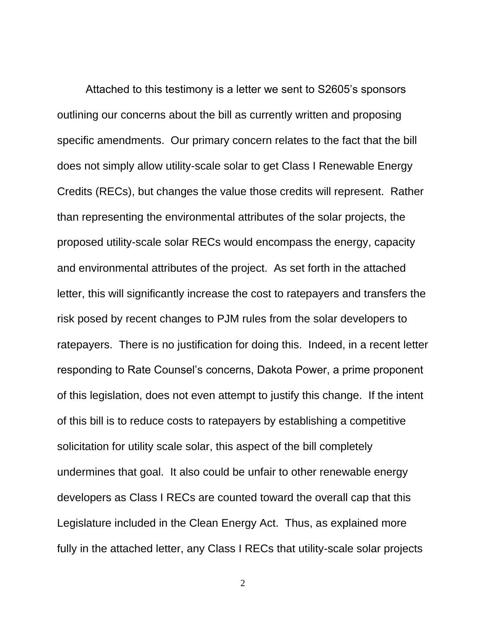Attached to this testimony is a letter we sent to S2605's sponsors outlining our concerns about the bill as currently written and proposing specific amendments. Our primary concern relates to the fact that the bill does not simply allow utility-scale solar to get Class I Renewable Energy Credits (RECs), but changes the value those credits will represent. Rather than representing the environmental attributes of the solar projects, the proposed utility-scale solar RECs would encompass the energy, capacity and environmental attributes of the project. As set forth in the attached letter, this will significantly increase the cost to ratepayers and transfers the risk posed by recent changes to PJM rules from the solar developers to ratepayers. There is no justification for doing this. Indeed, in a recent letter responding to Rate Counsel's concerns, Dakota Power, a prime proponent of this legislation, does not even attempt to justify this change. If the intent of this bill is to reduce costs to ratepayers by establishing a competitive solicitation for utility scale solar, this aspect of the bill completely undermines that goal. It also could be unfair to other renewable energy developers as Class I RECs are counted toward the overall cap that this Legislature included in the Clean Energy Act. Thus, as explained more fully in the attached letter, any Class I RECs that utility-scale solar projects

2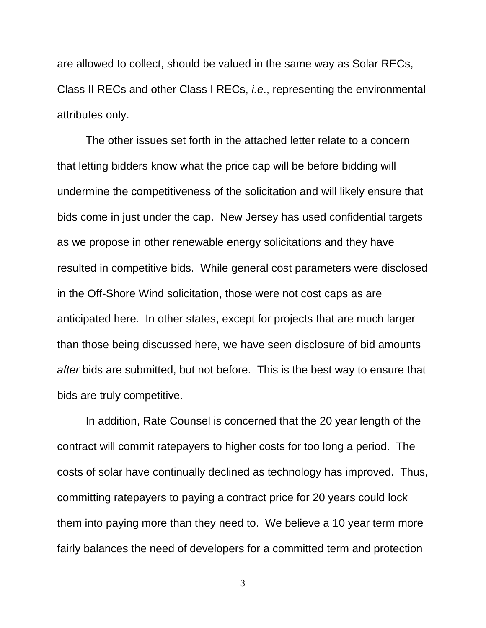are allowed to collect, should be valued in the same way as Solar RECs, Class II RECs and other Class I RECs, *i.e*., representing the environmental attributes only.

The other issues set forth in the attached letter relate to a concern that letting bidders know what the price cap will be before bidding will undermine the competitiveness of the solicitation and will likely ensure that bids come in just under the cap. New Jersey has used confidential targets as we propose in other renewable energy solicitations and they have resulted in competitive bids. While general cost parameters were disclosed in the Off-Shore Wind solicitation, those were not cost caps as are anticipated here. In other states, except for projects that are much larger than those being discussed here, we have seen disclosure of bid amounts *after* bids are submitted, but not before. This is the best way to ensure that bids are truly competitive.

In addition, Rate Counsel is concerned that the 20 year length of the contract will commit ratepayers to higher costs for too long a period. The costs of solar have continually declined as technology has improved. Thus, committing ratepayers to paying a contract price for 20 years could lock them into paying more than they need to. We believe a 10 year term more fairly balances the need of developers for a committed term and protection

3